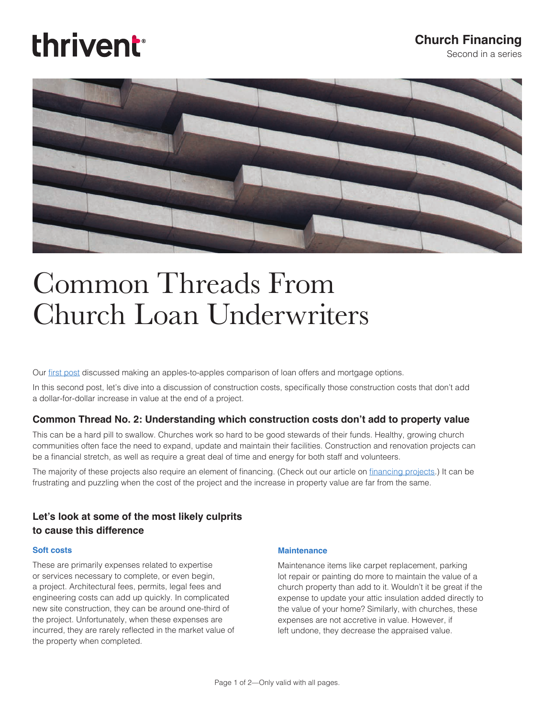# thrivent

## **Church Financing**

Second in a series



## Common Threads From Church Loan Underwriters

Our [first post](https://cms-shared-resources.s3.amazonaws.com/ChurchLoans/Resources/29702A.pdf) discussed making an apples-to-apples comparison of loan offers and mortgage options.

In this second post, let's dive into a discussion of construction costs, specifically those construction costs that don't add a dollar-for-dollar increase in value at the end of a project.

#### **Common Thread No. 2: Understanding which construction costs don't add to property value**

This can be a hard pill to swallow. Churches work so hard to be good stewards of their funds. Healthy, growing church communities often face the need to expand, update and maintain their facilities. Construction and renovation projects can be a financial stretch, as well as require a great deal of time and energy for both staff and volunteers.

The majority of these projects also require an element of financing. (Check out our article on [financing projects](https://thrivent-cms-prod.s3.amazonaws.com/Documents/FinancingProjects_Nov2016.pdf).) It can be frustrating and puzzling when the cost of the project and the increase in property value are far from the same.

### **Let's look at some of the most likely culprits to cause this difference**

#### **Soft costs**

These are primarily expenses related to expertise or services necessary to complete, or even begin, a project. Architectural fees, permits, legal fees and engineering costs can add up quickly. In complicated new site construction, they can be around one-third of the project. Unfortunately, when these expenses are incurred, they are rarely reflected in the market value of the property when completed.

#### **Maintenance**

Maintenance items like carpet replacement, parking lot repair or painting do more to maintain the value of a church property than add to it. Wouldn't it be great if the expense to update your attic insulation added directly to the value of your home? Similarly, with churches, these expenses are not accretive in value. However, if left undone, they decrease the appraised value.